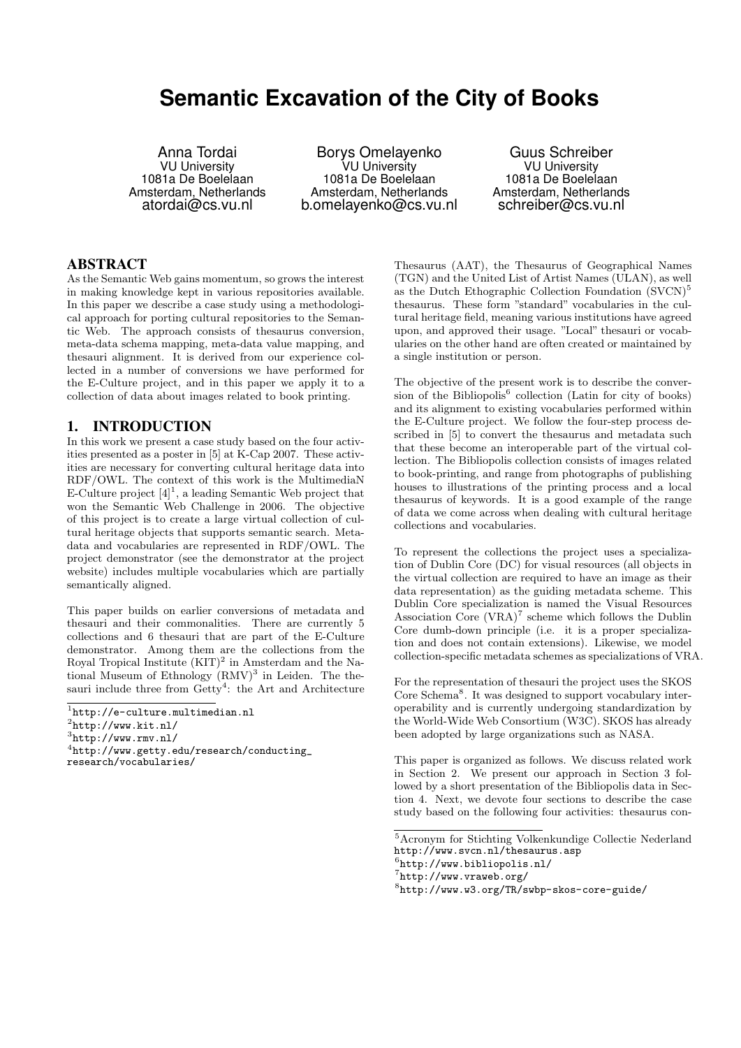# **Semantic Excavation of the City of Books**

Anna Tordai VU University 1081a De Boelelaan Amsterdam, Netherlands atordai@cs.vu.nl

Borys Omelayenko VU University 1081a De Boelelaan Amsterdam, Netherlands b.omelayenko@cs.vu.nl

Guus Schreiber VU University 1081a De Boelelaan Amsterdam, Netherlands schreiber@cs.vu.nl

### ABSTRACT

As the Semantic Web gains momentum, so grows the interest in making knowledge kept in various repositories available. In this paper we describe a case study using a methodological approach for porting cultural repositories to the Semantic Web. The approach consists of thesaurus conversion, meta-data schema mapping, meta-data value mapping, and thesauri alignment. It is derived from our experience collected in a number of conversions we have performed for the E-Culture project, and in this paper we apply it to a collection of data about images related to book printing.

## 1. INTRODUCTION

In this work we present a case study based on the four activities presented as a poster in [5] at K-Cap 2007. These activities are necessary for converting cultural heritage data into RDF/OWL. The context of this work is the MultimediaN E-Culture project  $[4]^1$ , a leading Semantic Web project that won the Semantic Web Challenge in 2006. The objective of this project is to create a large virtual collection of cultural heritage objects that supports semantic search. Metadata and vocabularies are represented in RDF/OWL. The project demonstrator (see the demonstrator at the project website) includes multiple vocabularies which are partially semantically aligned.

This paper builds on earlier conversions of metadata and thesauri and their commonalities. There are currently 5 collections and 6 thesauri that are part of the E-Culture demonstrator. Among them are the collections from the Royal Tropical Institute  $(KIT)^2$  in Amsterdam and the National Museum of Ethnology  $(RMV)^3$  in Leiden. The thesauri include three from Getty<sup>4</sup>: the Art and Architecture

research/vocabularies/

Thesaurus (AAT), the Thesaurus of Geographical Names (TGN) and the United List of Artist Names (ULAN), as well as the Dutch Ethographic Collection Foundation  $(SVCN)^5$ thesaurus. These form "standard" vocabularies in the cultural heritage field, meaning various institutions have agreed upon, and approved their usage. "Local" thesauri or vocabularies on the other hand are often created or maintained by a single institution or person.

The objective of the present work is to describe the conversion of the Bibliopolis<sup>6</sup> collection (Latin for city of books) and its alignment to existing vocabularies performed within the E-Culture project. We follow the four-step process described in [5] to convert the thesaurus and metadata such that these become an interoperable part of the virtual collection. The Bibliopolis collection consists of images related to book-printing, and range from photographs of publishing houses to illustrations of the printing process and a local thesaurus of keywords. It is a good example of the range of data we come across when dealing with cultural heritage collections and vocabularies.

To represent the collections the project uses a specialization of Dublin Core (DC) for visual resources (all objects in the virtual collection are required to have an image as their data representation) as the guiding metadata scheme. This Dublin Core specialization is named the Visual Resources Association Core  $(VRA)^7$  scheme which follows the Dublin Core dumb-down principle (i.e. it is a proper specialization and does not contain extensions). Likewise, we model collection-specific metadata schemes as specializations of VRA.

For the representation of thesauri the project uses the SKOS Core Schema<sup>8</sup>. It was designed to support vocabulary interoperability and is currently undergoing standardization by the World-Wide Web Consortium (W3C). SKOS has already been adopted by large organizations such as NASA.

This paper is organized as follows. We discuss related work in Section 2. We present our approach in Section 3 followed by a short presentation of the Bibliopolis data in Section 4. Next, we devote four sections to describe the case study based on the following four activities: thesaurus con-

<sup>1</sup> http://e-culture.multimedian.nl

 $^{2}$ http://www.kit.nl/

 $3$ http://www.rmv.nl/

 $^4$ http://www.getty.edu/research/conducting\_

 $\overline{{}^5\text{Acronym}}$  for Stichting Volkenkundige Collectie Nederland http://www.svcn.nl/thesaurus.asp

<sup>6</sup> http://www.bibliopolis.nl/

<sup>7</sup> http://www.vraweb.org/

<sup>8</sup> http://www.w3.org/TR/swbp-skos-core-guide/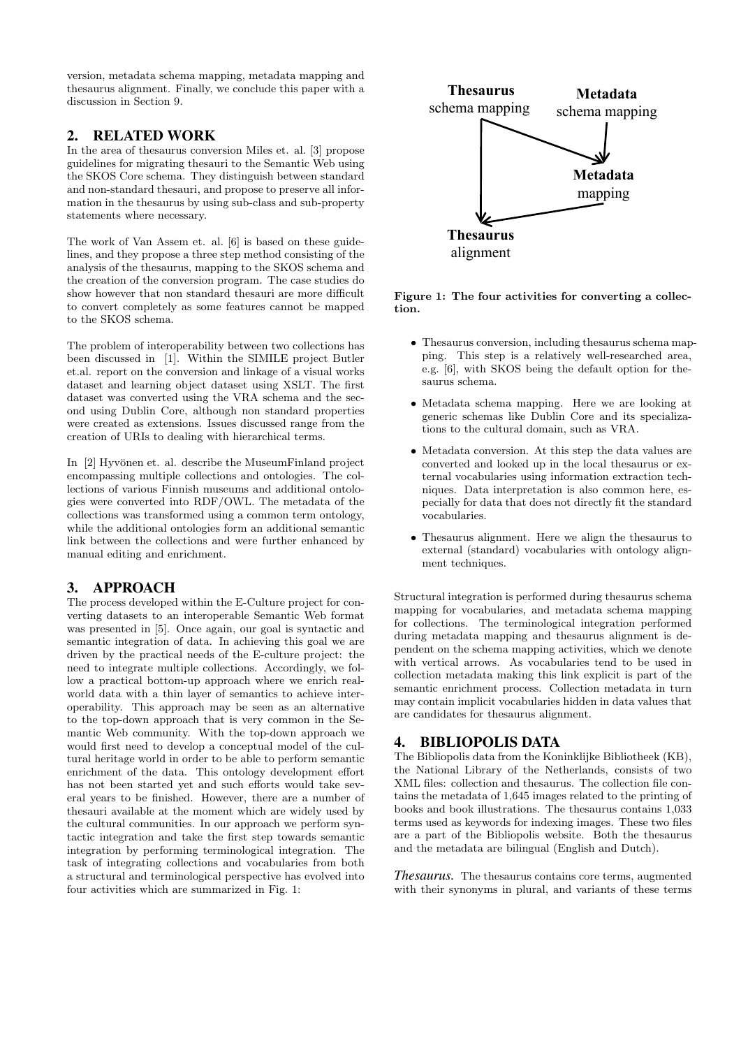version, metadata schema mapping, metadata mapping and thesaurus alignment. Finally, we conclude this paper with a discussion in Section 9.

## 2. RELATED WORK

In the area of thesaurus conversion Miles et. al. [3] propose guidelines for migrating thesauri to the Semantic Web using the SKOS Core schema. They distinguish between standard and non-standard thesauri, and propose to preserve all information in the thesaurus by using sub-class and sub-property statements where necessary.

The work of Van Assem et. al. [6] is based on these guidelines, and they propose a three step method consisting of the analysis of the thesaurus, mapping to the SKOS schema and the creation of the conversion program. The case studies do show however that non standard thesauri are more difficult to convert completely as some features cannot be mapped to the SKOS schema.

The problem of interoperability between two collections has been discussed in [1]. Within the SIMILE project Butler et.al. report on the conversion and linkage of a visual works dataset and learning object dataset using XSLT. The first dataset was converted using the VRA schema and the second using Dublin Core, although non standard properties were created as extensions. Issues discussed range from the creation of URIs to dealing with hierarchical terms.

In [2] Hyvönen et. al. describe the MuseumFinland project encompassing multiple collections and ontologies. The collections of various Finnish museums and additional ontologies were converted into RDF/OWL. The metadata of the collections was transformed using a common term ontology, while the additional ontologies form an additional semantic link between the collections and were further enhanced by manual editing and enrichment.

# 3. APPROACH

The process developed within the E-Culture project for converting datasets to an interoperable Semantic Web format was presented in [5]. Once again, our goal is syntactic and semantic integration of data. In achieving this goal we are driven by the practical needs of the E-culture project: the need to integrate multiple collections. Accordingly, we follow a practical bottom-up approach where we enrich realworld data with a thin layer of semantics to achieve interoperability. This approach may be seen as an alternative to the top-down approach that is very common in the Semantic Web community. With the top-down approach we would first need to develop a conceptual model of the cultural heritage world in order to be able to perform semantic enrichment of the data. This ontology development effort has not been started yet and such efforts would take several years to be finished. However, there are a number of thesauri available at the moment which are widely used by the cultural communities. In our approach we perform syntactic integration and take the first step towards semantic integration by performing terminological integration. The task of integrating collections and vocabularies from both a structural and terminological perspective has evolved into four activities which are summarized in Fig. 1:



Figure 1: The four activities for converting a collection.

- Thesaurus conversion, including thesaurus schema mapping. This step is a relatively well-researched area, e.g. [6], with SKOS being the default option for thesaurus schema.
- Metadata schema mapping. Here we are looking at generic schemas like Dublin Core and its specializations to the cultural domain, such as VRA.
- Metadata conversion. At this step the data values are converted and looked up in the local thesaurus or external vocabularies using information extraction techniques. Data interpretation is also common here, especially for data that does not directly fit the standard vocabularies.
- Thesaurus alignment. Here we align the thesaurus to external (standard) vocabularies with ontology alignment techniques.

Structural integration is performed during thesaurus schema mapping for vocabularies, and metadata schema mapping for collections. The terminological integration performed during metadata mapping and thesaurus alignment is dependent on the schema mapping activities, which we denote with vertical arrows. As vocabularies tend to be used in collection metadata making this link explicit is part of the semantic enrichment process. Collection metadata in turn may contain implicit vocabularies hidden in data values that are candidates for thesaurus alignment.

# 4. BIBLIOPOLIS DATA

The Bibliopolis data from the Koninklijke Bibliotheek (KB), the National Library of the Netherlands, consists of two XML files: collection and thesaurus. The collection file contains the metadata of 1,645 images related to the printing of books and book illustrations. The thesaurus contains 1,033 terms used as keywords for indexing images. These two files are a part of the Bibliopolis website. Both the thesaurus and the metadata are bilingual (English and Dutch).

*Thesaurus.* The thesaurus contains core terms, augmented with their synonyms in plural, and variants of these terms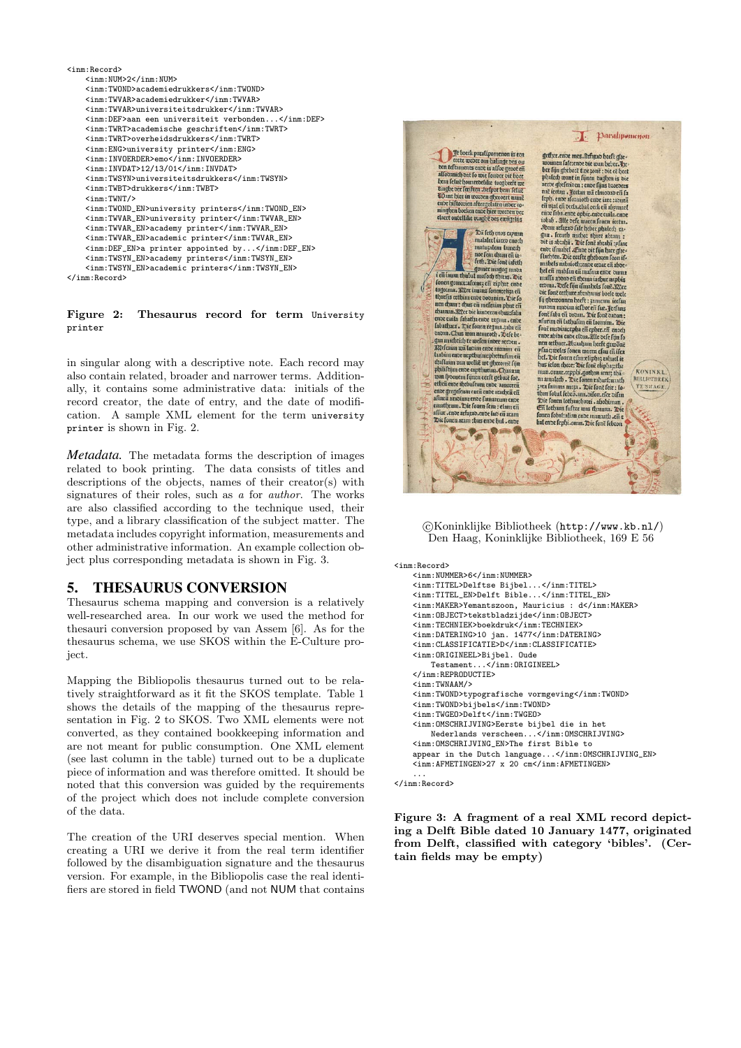

#### Figure 2: Thesaurus record for term University printer

in singular along with a descriptive note. Each record may also contain related, broader and narrower terms. Additionally, it contains some administrative data: initials of the record creator, the date of entry, and the date of modification. A sample XML element for the term university printer is shown in Fig. 2.

*Metadata.* The metadata forms the description of images related to book printing. The data consists of titles and descriptions of the objects, names of their creator(s) with signatures of their roles, such as a for author. The works are also classified according to the technique used, their type, and a library classification of the subject matter. The metadata includes copyright information, measurements and other administrative information. An example collection object plus corresponding metadata is shown in Fig. 3.

## 5. THESAURUS CONVERSION

Thesaurus schema mapping and conversion is a relatively well-researched area. In our work we used the method for thesauri conversion proposed by van Assem [6]. As for the thesaurus schema, we use SKOS within the E-Culture project.

Mapping the Bibliopolis thesaurus turned out to be relatively straightforward as it fit the SKOS template. Table 1 shows the details of the mapping of the thesaurus representation in Fig. 2 to SKOS. Two XML elements were not converted, as they contained bookkeeping information and are not meant for public consumption. One XML element (see last column in the table) turned out to be a duplicate piece of information and was therefore omitted. It should be noted that this conversion was guided by the requirements of the project which does not include complete conversion of the data.

The creation of the URI deserves special mention. When creating a URI we derive it from the real term identifier followed by the disambiguation signature and the thesaurus version. For example, in the Bibliopolis case the real identifiers are stored in field TWOND (and not NUM that contains



 c Koninklijke Bibliotheek (http://www.kb.nl/) Den Haag, Koninklijke Bibliotheek, 169 E 56

```
<inm:Record>
   <inm:NUMMER>6</inm:NUMMER>
   <inm:TITEL>Delftse Bijbel...</inm:TITEL>
   <inm:TITEL_EN>Delft Bible...</inm:TITEL_EN>
   <inm:MAKER>Yemantszoon, Mauricius : d</inm:MAKER>
   <inm:OBJECT>tekstbladzijde</inm:OBJECT>
   <inm:TECHNIEK>boekdruk</inm:TECHNIEK>
   <inm:DATERING>10 jan. 1477</inm:DATERING>
   <inm:CLASSIFICATIE>D</inm:CLASSIFICATIE>
   <inm:ORIGINEEL>Bijbel. Oude
        Testament...</inm:ORIGINEEL>
   </inm:REPRODUCTIE>
   <inm:TWNAAM/>
   <inm:TWOND>typografische vormgeving</inm:TWOND>
   <inm:TWOND>bijbels</inm:TWOND>
   <inm:TWGEO>Delft</inm:TWGEO>
   <inm:OMSCHRIJVING>Eerste bijbel die in het
       Nederlands verscheen...</inm:OMSCHRIJVING>
   <inm:OMSCHRIJVING_EN>The first Bible to
   appear in the Dutch language...</inm:OMSCHRIJVING_EN>
   <inm:AFMETINGEN>27 x 20 cm</inm:AFMETINGEN>
    ...
```

```
</inm:Record>
```
Figure 3: A fragment of a real XML record depicting a Delft Bible dated 10 January 1477, originated from Delft, classified with category 'bibles'. (Certain fields may be empty)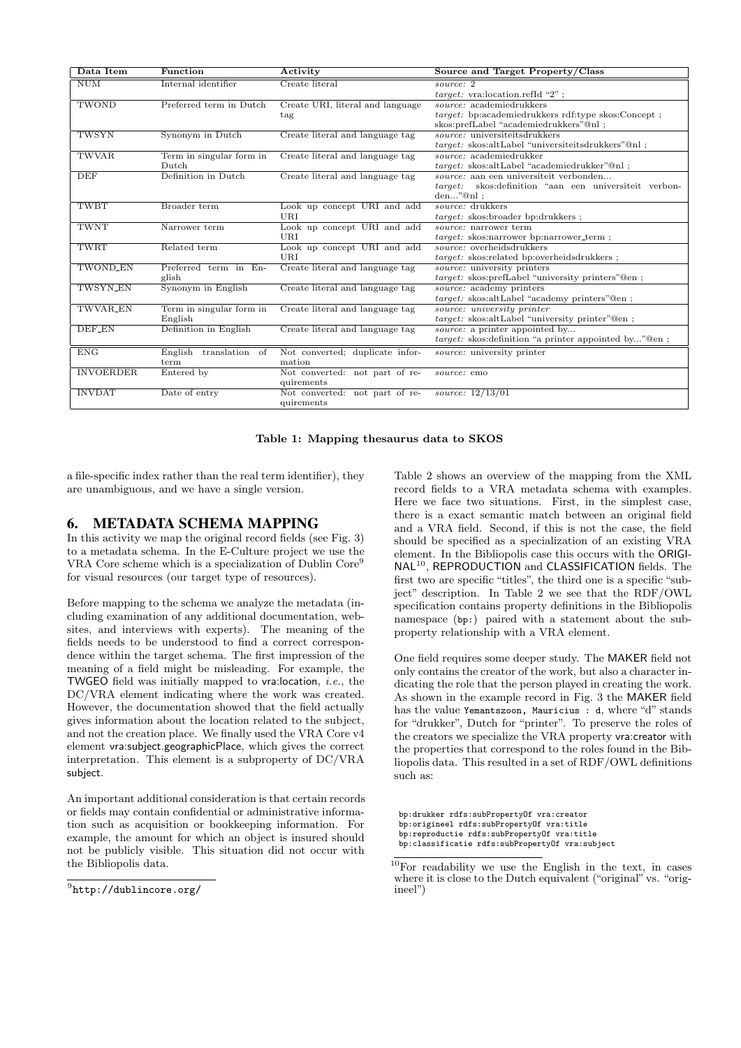| Data Item        | Function                 | Activity                         | Source and Target Property/Class                          |  |
|------------------|--------------------------|----------------------------------|-----------------------------------------------------------|--|
| <b>NUM</b>       | Internal identifier      | Create literal                   | source: 2                                                 |  |
|                  |                          |                                  | $target:$ vra:location.refId "2";                         |  |
| TWOND            | Preferred term in Dutch  | Create URI, literal and language | $source: \text{ academicdrukkers}$                        |  |
|                  |                          | tag                              | <i>target:</i> bp:academiedrukkers rdf:type skos:Concept; |  |
|                  |                          |                                  | skos:prefLabel "academiedrukkers"@nl ;                    |  |
| TWSYN            | Synonym in Dutch         | Create literal and language tag  | source: universiteitsdrukkers                             |  |
|                  |                          |                                  | $target:$ skos:altLabel "universiteitsdrukkers"@nl;       |  |
| <b>TWVAR</b>     | Term in singular form in | Create literal and language tag  | source: academiedrukker                                   |  |
|                  | Dutch                    |                                  | target: skos:altLabel "academiedrukker"@nl;               |  |
| <b>DEF</b>       | Definition in Dutch      | Create literal and language tag  | source: aan een universiteit verbonden                    |  |
|                  |                          |                                  | target:<br>skos: definition "aan een universiteit verbon- |  |
|                  |                          |                                  | $den$ " $@nl$ :                                           |  |
| TWBT             | Broader term             | Look up concept URI and add      | source: drukkers                                          |  |
|                  |                          | URI.                             | target: skos:broader bp:drukkers;                         |  |
| <b>TWNT</b>      | Narrower term            | Look up concept URI and add      | source: narrower term                                     |  |
|                  |                          | URI                              | target: skos:narrower bp:narrower_term;                   |  |
| TWRT             | Related term             | Look up concept URI and add      | source: overheidsdrukkers                                 |  |
|                  |                          | URI.                             | target: skos:related bp:overheidsdrukkers;                |  |
| TWOND EN         | Preferred term in En-    | Create literal and language tag  | source: university printers                               |  |
|                  | glish                    |                                  | target: skos:prefLabel "university printers"@en;          |  |
| <b>TWSYN_EN</b>  | Synonym in English       | Create literal and language tag  | source: academy printers                                  |  |
|                  |                          |                                  | target: skos:altLabel "academy printers"@en;              |  |
| TWVAR_EN         | Term in singular form in | Create literal and language tag  | source: university printer                                |  |
|                  | English                  |                                  | target: skos:altLabel "university printer"@en;            |  |
| DEF EN           | Definition in English    | Create literal and language tag  | <i>source:</i> a printer appointed by                     |  |
|                  |                          |                                  | target: skos: definition "a printer appointed by"@en;     |  |
| ENG              | English translation of   | Not converted; duplicate infor-  | source: university printer                                |  |
|                  | term                     | mation                           |                                                           |  |
| <b>INVOERDER</b> | Entered by               | Not converted: not part of re-   | source: emo                                               |  |
|                  |                          | quirements                       |                                                           |  |
| <b>INVDAT</b>    | Date of entry            | Not converted: not part of re-   | source: $12/13/01$                                        |  |
|                  |                          | quirements                       |                                                           |  |

#### Table 1: Mapping thesaurus data to SKOS

a file-specific index rather than the real term identifier), they are unambiguous, and we have a single version.

#### 6. METADATA SCHEMA MAPPING

In this activity we map the original record fields (see Fig. 3) to a metadata schema. In the E-Culture project we use the VRA Core scheme which is a specialization of Dublin Core<sup>9</sup> for visual resources (our target type of resources).

Before mapping to the schema we analyze the metadata (including examination of any additional documentation, websites, and interviews with experts). The meaning of the fields needs to be understood to find a correct correspondence within the target schema. The first impression of the meaning of a field might be misleading. For example, the **TWGEO** field was initially mapped to vra: location, *i.e.*, the DC/VRA element indicating where the work was created. However, the documentation showed that the field actually gives information about the location related to the subject, and not the creation place. We finally used the VRA Core v4 element vra:subject.geographicPlace, which gives the correct interpretation. This element is a subproperty of DC/VRA subject.

An important additional consideration is that certain records or fields may contain confidential or administrative information such as acquisition or bookkeeping information. For example, the amount for which an object is insured should not be publicly visible. This situation did not occur with the Bibliopolis data.

Table 2 shows an overview of the mapping from the XML record fields to a VRA metadata schema with examples. Here we face two situations. First, in the simplest case, there is a exact semantic match between an original field and a VRA field. Second, if this is not the case, the field should be specified as a specialization of an existing VRA element. In the Bibliopolis case this occurs with the ORIGI-NAL<sup>10</sup>, REPRODUCTION and CLASSIFICATION fields. The first two are specific "titles", the third one is a specific "subject" description. In Table 2 we see that the RDF/OWL specification contains property definitions in the Bibliopolis namespace (bp:) paired with a statement about the subproperty relationship with a VRA element.

One field requires some deeper study. The MAKER field not only contains the creator of the work, but also a character indicating the role that the person played in creating the work. As shown in the example record in Fig. 3 the MAKER field has the value Yemantszoon, Mauricius : d, where "d" stands for "drukker", Dutch for "printer". To preserve the roles of the creators we specialize the VRA property vra:creator with the properties that correspond to the roles found in the Bibliopolis data. This resulted in a set of RDF/OWL definitions such as:

bp:drukker rdfs:subPropertyOf vra:creator bp:origineel rdfs:subPropertyOf vra:title bp:reproductie rdfs:subPropertyOf vra:title bp:classificatie rdfs:subPropertyOf vra:subject

 $^9$ http://dublincore.org/

 $10$ For readability we use the English in the text, in cases where it is close to the Dutch equivalent ("original" vs. "origineel")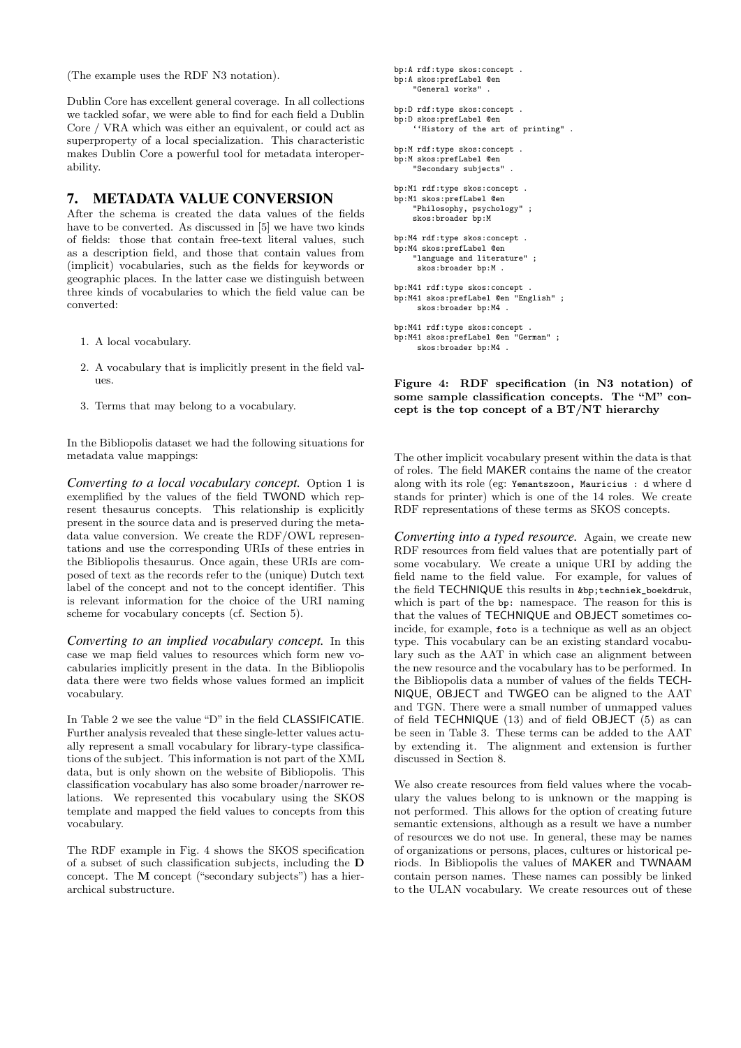(The example uses the RDF N3 notation).

Dublin Core has excellent general coverage. In all collections we tackled sofar, we were able to find for each field a Dublin Core / VRA which was either an equivalent, or could act as superproperty of a local specialization. This characteristic makes Dublin Core a powerful tool for metadata interoperability.

## 7. METADATA VALUE CONVERSION

After the schema is created the data values of the fields have to be converted. As discussed in [5] we have two kinds of fields: those that contain free-text literal values, such as a description field, and those that contain values from (implicit) vocabularies, such as the fields for keywords or geographic places. In the latter case we distinguish between three kinds of vocabularies to which the field value can be converted:

- 1. A local vocabulary.
- 2. A vocabulary that is implicitly present in the field values.
- 3. Terms that may belong to a vocabulary.

In the Bibliopolis dataset we had the following situations for metadata value mappings:

*Converting to a local vocabulary concept.* Option 1 is exemplified by the values of the field TWOND which represent thesaurus concepts. This relationship is explicitly present in the source data and is preserved during the metadata value conversion. We create the RDF/OWL representations and use the corresponding URIs of these entries in the Bibliopolis thesaurus. Once again, these URIs are composed of text as the records refer to the (unique) Dutch text label of the concept and not to the concept identifier. This is relevant information for the choice of the URI naming scheme for vocabulary concepts (cf. Section 5).

*Converting to an implied vocabulary concept.* In this case we map field values to resources which form new vocabularies implicitly present in the data. In the Bibliopolis data there were two fields whose values formed an implicit vocabulary.

In Table 2 we see the value "D" in the field CLASSIFICATIE. Further analysis revealed that these single-letter values actually represent a small vocabulary for library-type classifications of the subject. This information is not part of the XML data, but is only shown on the website of Bibliopolis. This classification vocabulary has also some broader/narrower relations. We represented this vocabulary using the SKOS template and mapped the field values to concepts from this vocabulary.

The RDF example in Fig. 4 shows the SKOS specification of a subset of such classification subjects, including the D concept. The M concept ("secondary subjects") has a hierarchical substructure.

```
bp:A rdf:type skos:concept .
bp:A skos:prefLabel @en
    "General works" .
bp:D rdf:type skos:concept .
bp:D skos:prefLabel @en
    ''History of the art of printing" .
bp:M rdf:type skos:concept .
bp:M skos:prefLabel @en
    "Secondary subjects" .
bp:M1 rdf:type skos:concept .
bp:M1 skos:prefLabel @en
    "Philosophy, psychology" ;
    skos:broader bp:M
bp:M4 rdf:type skos:concept .
bp:M4 skos:prefLabel @en
    "language and literature" ;
     skos:broader bp:M .
bp:M41 rdf:type skos:concept .
bp:M41 skos:prefLabel @en "English" ;
     skos:broader bp:M4 .
bp:M41 rdf:type skos:concept .<br>bp:M41 skos:preflabel @en "German" :
bp:M41 skos:prefLabel @en
```
skos:broader bp:M4 .

Figure 4: RDF specification (in N3 notation) of some sample classification concepts. The "M" con-

cept is the top concept of a BT/NT hierarchy

The other implicit vocabulary present within the data is that of roles. The field MAKER contains the name of the creator along with its role (eg: Yemantszoon, Mauricius : d where d stands for printer) which is one of the 14 roles. We create RDF representations of these terms as SKOS concepts.

*Converting into a typed resource.* Again, we create new RDF resources from field values that are potentially part of some vocabulary. We create a unique URI by adding the field name to the field value. For example, for values of the field TECHNIQUE this results in &bp;techniek\_boekdruk, which is part of the bp: namespace. The reason for this is that the values of TECHNIQUE and OBJECT sometimes coincide, for example, foto is a technique as well as an object type. This vocabulary can be an existing standard vocabulary such as the AAT in which case an alignment between the new resource and the vocabulary has to be performed. In the Bibliopolis data a number of values of the fields TECH-NIQUE, OBJECT and TWGEO can be aligned to the AAT and TGN. There were a small number of unmapped values of field TECHNIQUE (13) and of field OBJECT (5) as can be seen in Table 3. These terms can be added to the AAT by extending it. The alignment and extension is further discussed in Section 8.

We also create resources from field values where the vocabulary the values belong to is unknown or the mapping is not performed. This allows for the option of creating future semantic extensions, although as a result we have a number of resources we do not use. In general, these may be names of organizations or persons, places, cultures or historical periods. In Bibliopolis the values of MAKER and TWNAAM contain person names. These names can possibly be linked to the ULAN vocabulary. We create resources out of these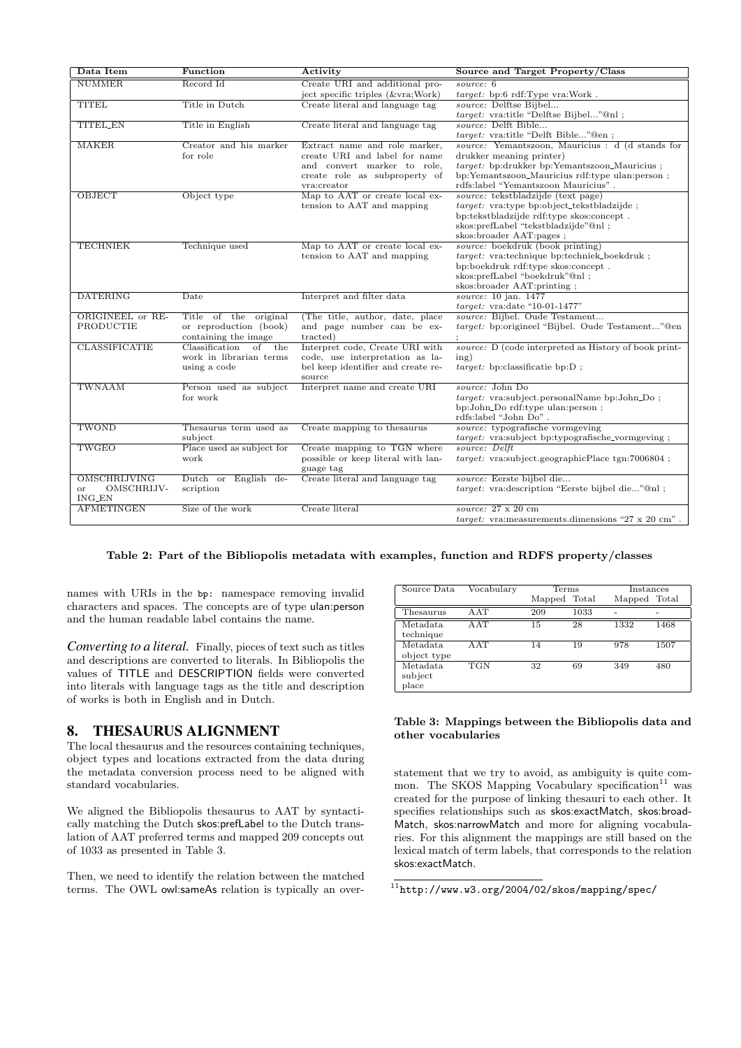| Data Item                                         | Function                                                                            | Activity                                                                                                                                      | Source and Target Property/Class                                                                                                                                                                                      |  |  |
|---------------------------------------------------|-------------------------------------------------------------------------------------|-----------------------------------------------------------------------------------------------------------------------------------------------|-----------------------------------------------------------------------------------------------------------------------------------------------------------------------------------------------------------------------|--|--|
| NUMMER.                                           | Record Id                                                                           | Create URI and additional pro-<br>ject specific triples (&vra Work)                                                                           | source: 6<br>target: bp:6 rdf:Type vra:Work.                                                                                                                                                                          |  |  |
| <b>TITEL</b>                                      | Title in Dutch                                                                      | Create literal and language tag                                                                                                               | source: Delftse Bijbel<br>target: vra:title "Delftse Bijbel"@nl;                                                                                                                                                      |  |  |
| <b>TITEL_EN</b>                                   | Title in English                                                                    | Create literal and language tag                                                                                                               | source: Delft Bible<br>target: vra:title "Delft Bible"@en;                                                                                                                                                            |  |  |
| <b>MAKER</b>                                      | Creator and his marker<br>for role                                                  | Extract name and role marker,<br>create URI and label for name<br>and convert marker to role,<br>create role as subproperty of<br>vra:creator | source: Yemantszoon, Mauricius : d (d stands for<br>drukker meaning printer)<br>target: bp:drukker bp:Yemantszoon_Mauricius;<br>bp:Yemantszoon_Mauricius rdf:type ulan:person;<br>rdfs:label "Yemantszoon Mauricius". |  |  |
| OBJECT                                            | Object type                                                                         | Map to AAT or create local ex-<br>tension to AAT and mapping                                                                                  | source: tekstbladzijde (text page)<br><i>target:</i> vra:type bp:object_tekstbladzijde;<br>bp:tekstbladzijde rdf:type skos:concept.<br>skos:prefLabel "tekstbladzijde"@nl ;<br>skos:broader AAT:pages;                |  |  |
| <b>TECHNIEK</b>                                   | Technique used                                                                      | Map to AAT or create local ex-<br>tension to AAT and mapping                                                                                  | source: boekdruk (book printing)<br>$target:$ vra:technique bp:techniek_boekdruk;<br>bp:boekdruk rdf:type skos:concept.<br>skos:prefLabel "boekdruk"@nl ;<br>skos:broader AAT:printing;                               |  |  |
| <b>DATERING</b>                                   | Date                                                                                | Interpret and filter data                                                                                                                     | source: 10 jan. 1477<br>$target:$ vra:date "10-01-1477"                                                                                                                                                               |  |  |
| ORIGINEEL or RE-<br>PRODUCTIE                     | Title of the original<br>or reproduction (book)<br>containing the image             | (The title, author, date, place)<br>and page number can be ex-<br>tracted)                                                                    | source: Bijbel. Oude Testament<br>target: bp:origineel "Bijbel. Oude Testament"@en                                                                                                                                    |  |  |
| <b>CLASSIFICATIE</b>                              | Classification<br>$\overline{of}$<br>the<br>work in librarian terms<br>using a code | Interpret code, Create URI with<br>code, use interpretation as la-<br>bel keep identifier and create re-<br>source                            | source: D (code interpreted as History of book print-<br>ing)<br>$target:$ bp:classificatie bp:D;                                                                                                                     |  |  |
| TWNAAM                                            | Person used as subject<br>for work                                                  | Interpret name and create URI                                                                                                                 | source: John Do<br>target: vra:subject.personalName bp:John_Do;<br>bp:John_Do rdf:type ulan:person;<br>rdfs:label "John Do".                                                                                          |  |  |
| TWOND                                             | Thesaurus term used as<br>subject                                                   | Create mapping to the saurus                                                                                                                  | source: typografische vormgeving<br><i>target:</i> vra:subject bp:typografische_vormgeving;                                                                                                                           |  |  |
| TWGEO                                             | Place used as subject for<br>work                                                   | Create mapping to TGN where<br>possible or keep literal with lan-<br>guage tag                                                                | source: Delft<br>$target:$ vra:subject.geographicPlace $tgn:7006804$ ;                                                                                                                                                |  |  |
| OMSCHRIJVING<br>OMSCHRIJV-<br>or<br><b>ING_EN</b> | Dutch or English de-<br>scription                                                   | Create literal and language tag                                                                                                               | source: Eerste bijbel die<br>target: vra:description "Eerste bijbel die"@nl;                                                                                                                                          |  |  |
| <b>AFMETINGEN</b>                                 | Size of the work                                                                    | Create literal                                                                                                                                | source: $27 \times 20$ cm<br><i>target:</i> vra: measurements.dimensions "27 x 20 cm".                                                                                                                                |  |  |

#### Table 2: Part of the Bibliopolis metadata with examples, function and RDFS property/classes

names with URIs in the bp: namespace removing invalid characters and spaces. The concepts are of type ulan:person and the human readable label contains the name.

*Converting to a literal.* Finally, pieces of text such as titles and descriptions are converted to literals. In Bibliopolis the values of TITLE and DESCRIPTION fields were converted into literals with language tags as the title and description of works is both in English and in Dutch.

## 8. THESAURUS ALIGNMENT

The local thesaurus and the resources containing techniques, object types and locations extracted from the data during the metadata conversion process need to be aligned with standard vocabularies.

We aligned the Bibliopolis thesaurus to AAT by syntactically matching the Dutch skos:prefLabel to the Dutch translation of AAT preferred terms and mapped 209 concepts out of 1033 as presented in Table 3.

Then, we need to identify the relation between the matched terms. The OWL owl:sameAs relation is typically an over-

| Source Data                       | Vocabulary | Terms        |      | Instances    |      |
|-----------------------------------|------------|--------------|------|--------------|------|
|                                   |            | Mapped Total |      | Mapped Total |      |
| Thesaurus                         | <b>AAT</b> | 209          | 1033 |              |      |
| Metadata<br>technique             | AAT        | 15           | 28   | 1332         | 1468 |
| Metadata<br>object type           | AAT        | 14           | 19   | 978          | 1507 |
| Metadata<br>subject<br>$_{place}$ | <b>TGN</b> | 32           | 69   | 349          | 480  |

#### Table 3: Mappings between the Bibliopolis data and other vocabularies

statement that we try to avoid, as ambiguity is quite common. The SKOS Mapping Vocabulary specification $11$  was created for the purpose of linking thesauri to each other. It specifies relationships such as skos:exactMatch, skos:broad-Match, skos:narrowMatch and more for aligning vocabularies. For this alignment the mappings are still based on the lexical match of term labels, that corresponds to the relation skos:exactMatch.

 $11$ http://www.w3.org/2004/02/skos/mapping/spec/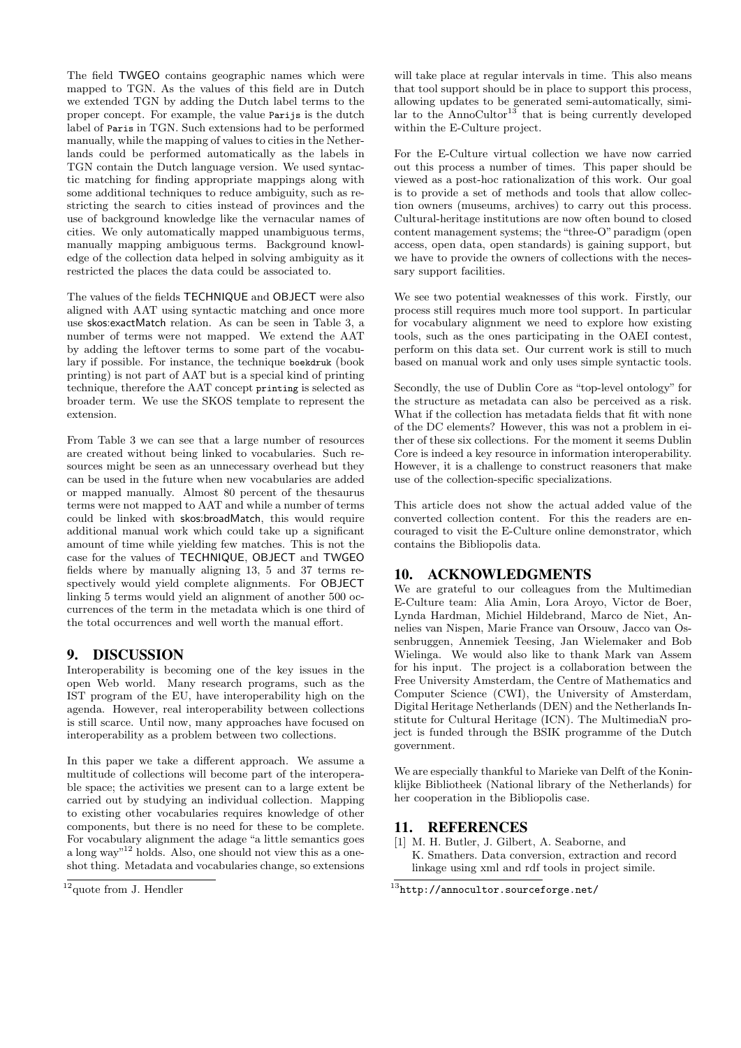The field TWGEO contains geographic names which were mapped to TGN. As the values of this field are in Dutch we extended TGN by adding the Dutch label terms to the proper concept. For example, the value Parijs is the dutch label of Paris in TGN. Such extensions had to be performed manually, while the mapping of values to cities in the Netherlands could be performed automatically as the labels in TGN contain the Dutch language version. We used syntactic matching for finding appropriate mappings along with some additional techniques to reduce ambiguity, such as restricting the search to cities instead of provinces and the use of background knowledge like the vernacular names of cities. We only automatically mapped unambiguous terms, manually mapping ambiguous terms. Background knowledge of the collection data helped in solving ambiguity as it restricted the places the data could be associated to.

The values of the fields TECHNIQUE and OBJECT were also aligned with AAT using syntactic matching and once more use skos:exactMatch relation. As can be seen in Table 3, a number of terms were not mapped. We extend the AAT by adding the leftover terms to some part of the vocabulary if possible. For instance, the technique boekdruk (book printing) is not part of AAT but is a special kind of printing technique, therefore the AAT concept printing is selected as broader term. We use the SKOS template to represent the extension.

From Table 3 we can see that a large number of resources are created without being linked to vocabularies. Such resources might be seen as an unnecessary overhead but they can be used in the future when new vocabularies are added or mapped manually. Almost 80 percent of the thesaurus terms were not mapped to AAT and while a number of terms could be linked with skos:broadMatch, this would require additional manual work which could take up a significant amount of time while yielding few matches. This is not the case for the values of TECHNIQUE, OBJECT and TWGEO fields where by manually aligning 13, 5 and 37 terms respectively would yield complete alignments. For OBJECT linking 5 terms would yield an alignment of another 500 occurrences of the term in the metadata which is one third of the total occurrences and well worth the manual effort.

## 9. DISCUSSION

Interoperability is becoming one of the key issues in the open Web world. Many research programs, such as the IST program of the EU, have interoperability high on the agenda. However, real interoperability between collections is still scarce. Until now, many approaches have focused on interoperability as a problem between two collections.

In this paper we take a different approach. We assume a multitude of collections will become part of the interoperable space; the activities we present can to a large extent be carried out by studying an individual collection. Mapping to existing other vocabularies requires knowledge of other components, but there is no need for these to be complete. For vocabulary alignment the adage "a little semantics goes a long way<sup>"12</sup> holds. Also, one should not view this as a oneshot thing. Metadata and vocabularies change, so extensions

will take place at regular intervals in time. This also means that tool support should be in place to support this process, allowing updates to be generated semi-automatically, similar to the AnnoCultor<sup>13</sup> that is being currently developed within the E-Culture project.

For the E-Culture virtual collection we have now carried out this process a number of times. This paper should be viewed as a post-hoc rationalization of this work. Our goal is to provide a set of methods and tools that allow collection owners (museums, archives) to carry out this process. Cultural-heritage institutions are now often bound to closed content management systems; the "three-O" paradigm (open access, open data, open standards) is gaining support, but we have to provide the owners of collections with the necessary support facilities.

We see two potential weaknesses of this work. Firstly, our process still requires much more tool support. In particular for vocabulary alignment we need to explore how existing tools, such as the ones participating in the OAEI contest, perform on this data set. Our current work is still to much based on manual work and only uses simple syntactic tools.

Secondly, the use of Dublin Core as "top-level ontology" for the structure as metadata can also be perceived as a risk. What if the collection has metadata fields that fit with none of the DC elements? However, this was not a problem in either of these six collections. For the moment it seems Dublin Core is indeed a key resource in information interoperability. However, it is a challenge to construct reasoners that make use of the collection-specific specializations.

This article does not show the actual added value of the converted collection content. For this the readers are encouraged to visit the E-Culture online demonstrator, which contains the Bibliopolis data.

# 10. ACKNOWLEDGMENTS

We are grateful to our colleagues from the Multimedian E-Culture team: Alia Amin, Lora Aroyo, Victor de Boer, Lynda Hardman, Michiel Hildebrand, Marco de Niet, Annelies van Nispen, Marie France van Orsouw, Jacco van Ossenbruggen, Annemiek Teesing, Jan Wielemaker and Bob Wielinga. We would also like to thank Mark van Assem for his input. The project is a collaboration between the Free University Amsterdam, the Centre of Mathematics and Computer Science (CWI), the University of Amsterdam, Digital Heritage Netherlands (DEN) and the Netherlands Institute for Cultural Heritage (ICN). The MultimediaN project is funded through the BSIK programme of the Dutch government.

We are especially thankful to Marieke van Delft of the Koninklijke Bibliotheek (National library of the Netherlands) for her cooperation in the Bibliopolis case.

## 11. REFERENCES

[1] M. H. Butler, J. Gilbert, A. Seaborne, and K. Smathers. Data conversion, extraction and record linkage using xml and rdf tools in project simile.

 $12$ quote from J. Hendler

 $^{13}$ http://annocultor.sourceforge.net/